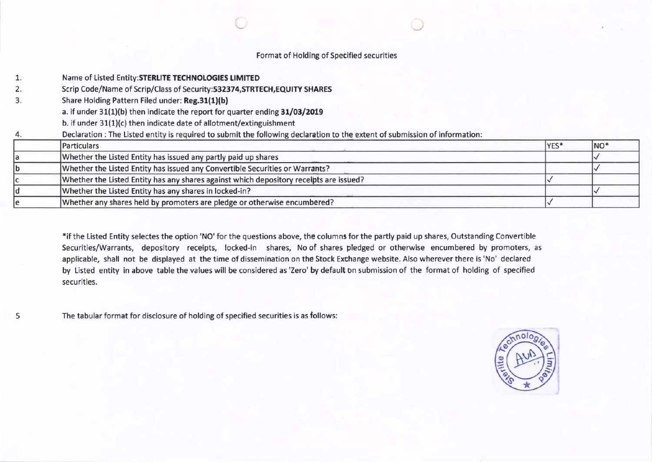# Format of Holding of Spetified securities

| 1. | Name of Listed Entity: STERLITE TECHNOLOGIES LIMITED                                                                        |      |                 |  |  |  |  |  |  |  |  |  |
|----|-----------------------------------------------------------------------------------------------------------------------------|------|-----------------|--|--|--|--|--|--|--|--|--|
| 2. | Scrip Code/Name of Scrip/Class of Security: 532374, STRTECH, EQUITY SHARES                                                  |      |                 |  |  |  |  |  |  |  |  |  |
| 3. | Share Holding Pattern Filed under: Reg.31(1)(b)                                                                             |      |                 |  |  |  |  |  |  |  |  |  |
|    | a. if under 31(1)(b) then indicate the report for quarter ending 31/03/2019                                                 |      |                 |  |  |  |  |  |  |  |  |  |
|    | b. if under 31(1)(c) then indicate date of allotment/extinguishment                                                         |      |                 |  |  |  |  |  |  |  |  |  |
| 4. | Declaration : The Listed entity is required to submit the following declaration to the extent of submission of information: |      |                 |  |  |  |  |  |  |  |  |  |
|    | Particulars                                                                                                                 | YES* | NO <sup>*</sup> |  |  |  |  |  |  |  |  |  |
|    | Whether the Listed Entity has issued any partly paid up shares                                                              |      |                 |  |  |  |  |  |  |  |  |  |
|    | Whether the Listed Entity has issued any Convertible Securities or Warrants?                                                |      |                 |  |  |  |  |  |  |  |  |  |
|    | Whether the Listed Entity has any shares against which depository receipts are issued?                                      |      |                 |  |  |  |  |  |  |  |  |  |
|    | Whether the Listed Entity has any shares in locked-in?                                                                      |      |                 |  |  |  |  |  |  |  |  |  |
|    | Whether any shares held by promoters are pledge or otherwise encumbered?                                                    |      |                 |  |  |  |  |  |  |  |  |  |

\*if the Listed Entity selectes the option 'NO' for the questions above, the columns for the partly paid up shares, Outstanding Convertible Securities/Warrants, depository receipts, locked-in shares, No of shares pledged or otherwise encumbered by promoters, as applicable, shall not be displayed at the time of dissemination on the Stock Exchange website. Also wherever there is 'No' declared by Listed entity in above table the values will be considered as 'Zero' by default on submission of the format of holding of specified securities.

The tabular format for disclosure of holding of specified securities is as follows:

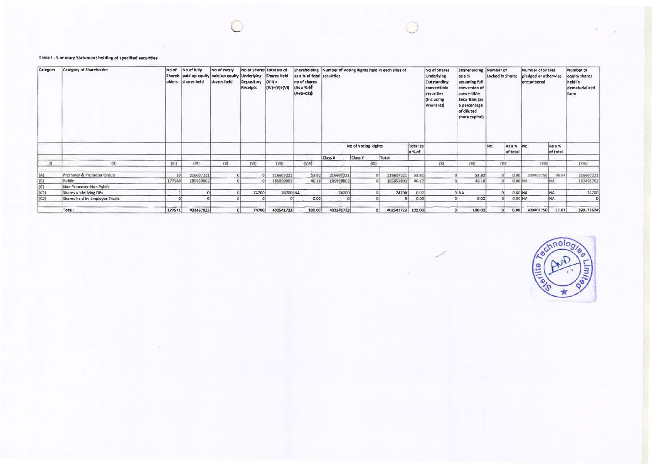## Table I - Summary Statement holding of specified securities

| Category | <b>Category of Shareholder</b> | No of  | No of fully<br>olders shares held | No of Partly<br>Shareh paid up equity paid-up equity Underlying<br>shares held | Depository<br>Receipts | No of Shares Total No of<br><b>Shares Held</b><br>$(VII) =$<br>$(IV)+(V)+(VI)$ | as a % of total securities<br>no of shares<br>(As a % of<br>$(A+B+CZ)$ | Shareholding Number of Voting Rights held in each class of |                                         |                |                    | No of Shares<br>Underlying<br>Outstanding<br>converttible<br>securities<br>(Including<br>Warrants) | Shareholding Number of<br>as a %<br>assuming full<br>conversion of<br>convertible<br>Securities (as<br>a percentage<br>of diluted<br>share capital) | Locked In Shares |                        | <b>Number of Shares</b><br>pledged or otherwise<br>encumbered |                    | Number of<br>equity shares<br>held in<br>dematerialized<br>form |
|----------|--------------------------------|--------|-----------------------------------|--------------------------------------------------------------------------------|------------------------|--------------------------------------------------------------------------------|------------------------------------------------------------------------|------------------------------------------------------------|-----------------------------------------|----------------|--------------------|----------------------------------------------------------------------------------------------------|-----------------------------------------------------------------------------------------------------------------------------------------------------|------------------|------------------------|---------------------------------------------------------------|--------------------|-----------------------------------------------------------------|
|          |                                |        |                                   |                                                                                |                        |                                                                                |                                                                        |                                                            | No of Voting Rights<br>Class Y<br>Total |                | Total as<br>a % of |                                                                                                    |                                                                                                                                                     | No.              | As a % No.<br>of total |                                                               | As a %<br>of total |                                                                 |
|          |                                |        |                                   |                                                                                |                        |                                                                                |                                                                        | Class X                                                    |                                         |                |                    |                                                                                                    |                                                                                                                                                     |                  |                        |                                                               |                    |                                                                 |
| $11$     | $\langle \text{II} \rangle$    | (iii)  | (IV)                              | W                                                                              | (VI)                   | (VM)                                                                           | (VIII)                                                                 |                                                            |                                         | [1X]           |                    | (X)                                                                                                | (X1)                                                                                                                                                |                  | fX1f                   | DOM:                                                          |                    | (XIV)                                                           |
| (A)      | Promoter & Promoter Group      | 10     | 216607221                         |                                                                                |                        | 216607221                                                                      | 53.82                                                                  | 216607221                                                  |                                         | 216607221      | 53.81              |                                                                                                    | 53.82                                                                                                                                               |                  | 0.001                  | 209402750                                                     | 96.67              | 216607221                                                       |
| (8)      | Public                         | 177560 | 185859802                         |                                                                                |                        | 185859802                                                                      | 46.18                                                                  | 185899802                                                  |                                         | 185859802      | 46.17              |                                                                                                    | 46.18                                                                                                                                               |                  | $0.00$ NA              |                                                               | NA                 | 182495703                                                       |
| (C)      | Non Promoter-Non Public        |        |                                   |                                                                                |                        |                                                                                |                                                                        |                                                            |                                         |                |                    |                                                                                                    |                                                                                                                                                     |                  |                        |                                                               |                    |                                                                 |
| (1)      | Shares underlying DRs          |        |                                   |                                                                                | 74700                  | 74700 NA                                                                       |                                                                        | 74700                                                      |                                         | 74700          | 0.02               |                                                                                                    | 0 NA                                                                                                                                                |                  | 0.00 NA                |                                                               | <b>NA</b>          | 74700                                                           |
| (C2)     | Shares held by Employes Trusts |        |                                   |                                                                                |                        |                                                                                | 0.00                                                                   |                                                            |                                         |                | 0.00               |                                                                                                    | 0.00                                                                                                                                                |                  |                        | 0.00 NA                                                       | <b>NA</b>          |                                                                 |
|          | Total:                         | 177571 | 402467023                         |                                                                                | 74700                  | 402541723                                                                      | 100.00                                                                 | 402541723                                                  |                                         | $\overline{a}$ | 402541723 100.00   |                                                                                                    | 100.00                                                                                                                                              |                  | 0.00                   | 209402750                                                     | 52.02              | 399177624                                                       |

Lechnolog  $\mathbf{e}$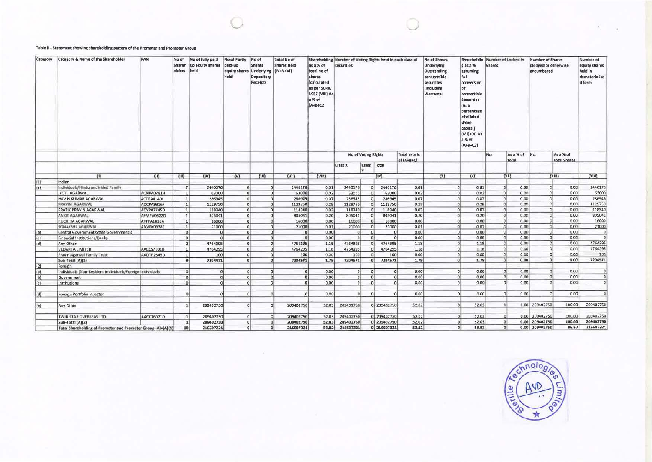#### Table II - Statement showing shareholding pattern of the Promoter and Promoter Group

| Category            | Category & Name of the Shareholder                           | PAN               | No of<br>olders | No of fully paid<br>Shareh up equity shares<br>held | No of Partly<br>paid-up<br>equity shares Underlying<br>held | No of<br><b>Shares</b><br>Depository<br>Receipts | <b>Total No of</b><br><b>Shares Held</b><br>$(IV+V+VI)$ | as a % of<br>total no of<br>shares<br><i><b>calculated</b></i><br>as per SCRR,<br>1957 (VIII) As<br>a % of<br>$(A+B+CZ)$ | Shareholding Number of Voting Rights held in each class of<br>securities |                            |                           |                                 | No of Shares<br>Underlying<br>Outstanding<br>converttible<br>securities<br>(Including<br>Warrants) | Shareholdin Number of Locked in<br>g as a %<br>assuming<br>full<br>conversion<br>of<br>convertible<br>Securities<br>(as a<br>percentage<br>of diluted<br>share<br>capital)<br>(VII)+(X) As<br>a % of<br>$(A+B+C2)$ | <b>Shares</b> |                              | <b>Number of Shares</b><br>pledged or otherwise<br>encumbered |                                      | Number of<br>equity shares<br>held in<br>dematerialize<br>d form |
|---------------------|--------------------------------------------------------------|-------------------|-----------------|-----------------------------------------------------|-------------------------------------------------------------|--------------------------------------------------|---------------------------------------------------------|--------------------------------------------------------------------------------------------------------------------------|--------------------------------------------------------------------------|----------------------------|---------------------------|---------------------------------|----------------------------------------------------------------------------------------------------|--------------------------------------------------------------------------------------------------------------------------------------------------------------------------------------------------------------------|---------------|------------------------------|---------------------------------------------------------------|--------------------------------------|------------------------------------------------------------------|
|                     |                                                              |                   |                 |                                                     |                                                             |                                                  |                                                         |                                                                                                                          |                                                                          | <b>No of Voting Rights</b> |                           | Total as a %<br>of (A+B+C)      |                                                                                                    |                                                                                                                                                                                                                    | No.           | As a % of                    | No.                                                           | As a % of<br>total Shares            |                                                                  |
|                     |                                                              |                   |                 |                                                     |                                                             |                                                  |                                                         |                                                                                                                          | Class X                                                                  |                            | Class Total               |                                 |                                                                                                    |                                                                                                                                                                                                                    |               | total                        |                                                               |                                      |                                                                  |
|                     | $11$                                                         | (III)             | (III)           | (IV)                                                | (v)                                                         | (VI)                                             | (VM)                                                    | (III)                                                                                                                    |                                                                          |                            | (XI)                      |                                 | X                                                                                                  | (X <sub>1</sub> )                                                                                                                                                                                                  |               | (XH)                         |                                                               | (X111)                               | <b>DOM</b>                                                       |
| (1)                 | Indian                                                       |                   |                 |                                                     |                                                             |                                                  |                                                         |                                                                                                                          |                                                                          |                            |                           |                                 |                                                                                                    |                                                                                                                                                                                                                    |               |                              |                                                               |                                      |                                                                  |
| (a)                 | Individuals/Hindu undivided Family                           |                   | 7 <sup>1</sup>  | 2440076                                             | $\alpha$                                                    | n.                                               | 2440176                                                 | 0.61                                                                                                                     | 2440176                                                                  |                            | 2440176<br>0 <sup>1</sup> | 0.61                            |                                                                                                    | 0.61<br>$\circ$                                                                                                                                                                                                    |               | 0.00<br>$\circ$              |                                                               | 0.00<br>$\alpha$                     | 2440176                                                          |
|                     | <b>JYOTI AGARWAL</b>                                         | ACNPA0781H        | 11              | 63000                                               | $\Omega$                                                    |                                                  | 0 <sup>1</sup><br>63000                                 | 0.02                                                                                                                     | 63000                                                                    |                            | 0 <sup>1</sup><br>63000   | 0.02                            |                                                                                                    | 0.02<br>$\Omega$                                                                                                                                                                                                   |               | $\Omega$<br>0.00             |                                                               | $\circ$<br>0.00                      | 63000                                                            |
|                     | NAVIN KUMAR AGARWAL                                          | ACTPA4140J        | 1               | 286945                                              | 0                                                           |                                                  | $\Omega$<br>286945                                      | 0.07                                                                                                                     | 286945                                                                   |                            | 0 <sup>1</sup><br>286945  | 0.07                            |                                                                                                    | $\circ$<br>0.07                                                                                                                                                                                                    |               | 0 <br>0.00                   |                                                               | 0 <br>0.00                           | 286945                                                           |
|                     | PRAVIN AGARWAL                                               | ADCPA9816F        | 1               | 1129750                                             | O <sub>1</sub>                                              |                                                  | $\Omega$<br>1129750                                     | 0.28                                                                                                                     | 1129750                                                                  |                            | 1129750<br> 0             | 0.28                            |                                                                                                    | 0.28<br>$\Omega$                                                                                                                                                                                                   |               | 0 <br>0.00                   |                                                               | 0 <br>0.00                           | 1129750                                                          |
|                     | PRATIK PRAVIN AGARWAL                                        | ADYPA7745D        | 11              | 118340                                              |                                                             | $\circ$                                          | 0 <sup>1</sup><br>118340                                | 0.03                                                                                                                     | 118340                                                                   |                            | 118340<br>$\Omega$        | 0.03                            |                                                                                                    | 0.03<br>$\Omega$                                                                                                                                                                                                   |               | $\Omega$<br>0.00             |                                                               | $\alpha$<br>0.00                     | 118340                                                           |
|                     | <b>ANKIT AGARWAL</b>                                         | AFMPA0622D        | 11              | 805041                                              | $\Omega$                                                    |                                                  | 0 <sup>1</sup><br>805041                                | 0.20                                                                                                                     | 805041                                                                   |                            | 805041<br>01              | 0.20                            |                                                                                                    | 0.20<br>$\Omega$                                                                                                                                                                                                   |               | $\Omega$<br>0.00             |                                                               | $\Omega$<br>0.00                     | 805041                                                           |
|                     | <b>RUCHIRA AGARWAL</b>                                       | AFTPA1818A        | 11              | 16000                                               | $\Omega$                                                    |                                                  | 16000<br>ΩI                                             | 0.00                                                                                                                     | 16000                                                                    |                            | 16000<br>$\Omega$         | 0.00                            |                                                                                                    | 0.00<br>$\Omega$                                                                                                                                                                                                   |               | $\circ$<br>0.00              |                                                               | O <sub>1</sub><br>0.00               | 16000                                                            |
|                     | SONAKSHI AGARWAL                                             | ANVPK0338F        | 11              | 21000                                               | O <sub>1</sub>                                              |                                                  | $\Omega$<br>21000                                       | 0.01                                                                                                                     | 21000                                                                    |                            | 0 <sup>1</sup><br>21000   | 0.01                            |                                                                                                    | 0.01<br>O <sub>1</sub>                                                                                                                                                                                             |               | 0.00<br>$\circ$              |                                                               | $\circ$<br>0.00                      | 21000                                                            |
| (b)                 | Central Government/State Government(s)                       |                   |                 | 0 <sup>1</sup><br>$\alpha$                          | $\Omega$                                                    |                                                  | αl<br>$\sigma$                                          | 0.00                                                                                                                     |                                                                          | 0 <sup>1</sup>             | $\Omega$<br>$\Omega$      | 0.00                            |                                                                                                    | 0.00<br>D                                                                                                                                                                                                          |               | 0.00<br> 0                   |                                                               | C <sub>1</sub><br>0.00               | $\circ$                                                          |
| (c)                 | <b>Financial Institutions/Banks</b>                          |                   | 0 <sup>1</sup>  | $\Omega$                                            | $\alpha$                                                    |                                                  | $\Omega$<br>O                                           | 0.00                                                                                                                     | $\theta$                                                                 |                            | $\Omega$<br>$\Omega$      | 0.00                            |                                                                                                    | 0.00<br>ol                                                                                                                                                                                                         |               | 0.00<br>$\Omega$             |                                                               | 0.00<br>$\Omega$                     | $\circ$                                                          |
| (d)                 | Any Other                                                    |                   |                 | 4764395                                             | οl                                                          |                                                  | 0<br>4764395                                            | 1.18                                                                                                                     | 4764395                                                                  |                            | 4764395<br>$\Omega$       | 1.18                            |                                                                                                    | 1.18<br>$\circ$                                                                                                                                                                                                    |               | 0.00<br><sub>0</sub>         |                                                               | 0 <br>0.00                           | 4764395                                                          |
|                     | <b>VEDANTA LIMITED</b>                                       | AACCS7101B        |                 | 4764295                                             | $\alpha$                                                    |                                                  | 4764295<br>۵l                                           | 1.18                                                                                                                     | 4764295                                                                  |                            | 4764295<br>$\Omega$       | 1.18                            |                                                                                                    | $\Omega$<br>1 18                                                                                                                                                                                                   |               | 0.00<br>$\Omega$             |                                                               | 0.00<br> 0                           | 4764295                                                          |
|                     | Pravin Agarwal Family Trust                                  | AADTP2845D        |                 | 100                                                 | $\Omega$                                                    |                                                  | 100<br>$\Omega$                                         | 0.00                                                                                                                     | 100                                                                      |                            | 100<br>$\Omega$           | 0.00                            |                                                                                                    | 0.00                                                                                                                                                                                                               |               | 0.00<br>$\Omega$             |                                                               | 0 <br>0.00                           | 100                                                              |
|                     | Sub-Total (A)(1)                                             |                   | 9               | 7204471                                             |                                                             |                                                  | nl<br>7204571                                           | 1.79                                                                                                                     | 7204571                                                                  |                            | 7204571<br>0ì             | 1.79                            |                                                                                                    | 1.79<br>$\Omega$                                                                                                                                                                                                   |               | 0.00<br>ol                   |                                                               | 0.00<br>$\Omega$                     | 7204571                                                          |
| (2)                 | Foreign                                                      |                   |                 |                                                     |                                                             |                                                  |                                                         |                                                                                                                          |                                                                          |                            |                           |                                 |                                                                                                    |                                                                                                                                                                                                                    |               |                              |                                                               |                                      |                                                                  |
| (a)                 | Individuals (Non-Resident Individuals/Foreign Individuals    |                   | 0 <sup>1</sup>  | $\Omega$<br>ol                                      | 01                                                          |                                                  | αI<br>$\Omega$                                          | 0.00                                                                                                                     |                                                                          | ol<br>0 <sup>1</sup>       | 0                         | 0.001<br>O <sub>1</sub><br>0.00 |                                                                                                    | 0.00<br>$\circ$                                                                                                                                                                                                    |               | 0.00<br>$\Omega$<br>$\Omega$ |                                                               | 0.00<br>$\Omega$<br>0.00<br>$\Omega$ | $\Omega$<br> 0                                                   |
| (b)                 | Government                                                   |                   |                 | 0 <sup>1</sup><br>$\Omega$<br>$\circ$               | ol                                                          |                                                  | $\alpha$<br>$\circ$<br>$\sim$<br>$\Omega$               | 0.00                                                                                                                     |                                                                          | $\Omega$                   | 0 <br>$\mathbf{0}$        | 0!<br>0.00<br>$\Omega$          |                                                                                                    | 0.00<br>0<br>0.00<br>$\Omega$                                                                                                                                                                                      |               | 0.00<br>0.00<br> 0           |                                                               | 0.00<br>$\Omega$                     | $\alpha$                                                         |
| (c)                 | Institutions                                                 |                   |                 |                                                     | $\alpha$                                                    |                                                  |                                                         | 0.00                                                                                                                     |                                                                          |                            |                           |                                 |                                                                                                    |                                                                                                                                                                                                                    |               |                              |                                                               |                                      |                                                                  |
| (d)                 | Foreign Portfolio Investor                                   |                   | $\Omega$        |                                                     | $\Omega$                                                    |                                                  | $\Omega$<br>$\Omega$                                    | 0.00                                                                                                                     |                                                                          | $\Omega$                   | $\Omega$<br>$\Omega$      | 0.00                            |                                                                                                    | 0.00<br>$\Omega$                                                                                                                                                                                                   |               | 0 <br>0.00                   |                                                               | 0.00<br>$\alpha$                     | $\alpha$                                                         |
| $\left\{ e\right\}$ | Any Other                                                    |                   |                 | 209402750                                           | $\Omega$                                                    |                                                  | ol<br>209402750                                         | 52.03                                                                                                                    | 209402750                                                                |                            | 0 209402750               | 52.02                           |                                                                                                    | 52.03<br> 0                                                                                                                                                                                                        |               | <b>c</b>                     | 0.00 209402750                                                | 100.00                               | 209402750                                                        |
|                     | TWIN STAR OVERSEAS LTD                                       | <b>AACCT6021D</b> |                 | 209402750                                           |                                                             |                                                  | 209402750                                               | 52.03                                                                                                                    | 209402750                                                                |                            | 0 209402750               | 52.02                           |                                                                                                    | 52.03<br>$\Omega$                                                                                                                                                                                                  |               | $\Omega$                     | 0.00 209402750                                                | 100.00                               | 209402750                                                        |
|                     | Sub-Total (A)(2)                                             |                   |                 | 209402750                                           | n                                                           |                                                  | 209402750                                               | 52.03                                                                                                                    | 209402750                                                                |                            | 0 209402750               | 52.02                           |                                                                                                    | 52.03<br>$\Omega$                                                                                                                                                                                                  |               | $\Omega$                     | 0.00 209402750                                                | 100.00                               | 209402750                                                        |
|                     | Total Shareholding of Promoter and Promoter Group (A)=(A)(1) |                   | 10 <sup>1</sup> | 216607221                                           |                                                             | o                                                | 216607321<br>$\alpha$                                   | 53.82                                                                                                                    | 216607321                                                                |                            | $0$ 216607321             | 53.81                           |                                                                                                    | 53.82<br>$\Omega$                                                                                                                                                                                                  |               | $\Omega$                     | 0.00 209402750                                                | 96.67                                | 216607321                                                        |

Restmologie Limi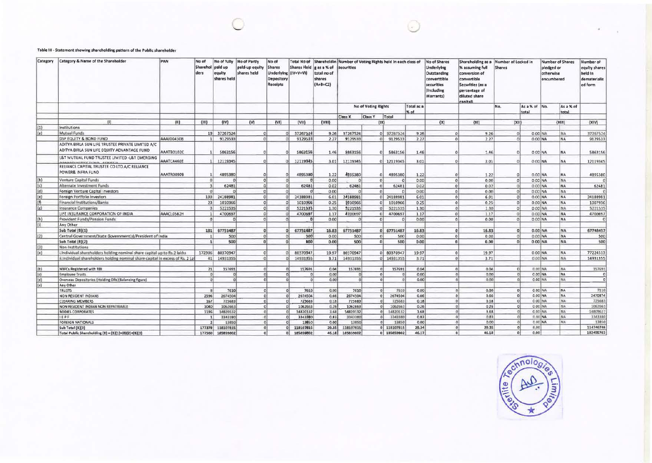## Table III - Statement showing shareholding pattern of the Public shareholder

| Category      | <b>Category &amp; Name of the Shareholder</b>                                                    | PAN        | No of<br>Sharehol<br>ders | No of fully<br>paid up<br>equity<br>shares held | No of Partly<br>pald-up equity<br>shares held | No of<br><b>Shares</b><br><b>Underlying</b><br>Depository<br>Receipts | <b>Shares Held</b><br>$(IV+V+VI)$ | Total No of Shareholdin Number of Voting Rights held in each class of<br>gas a % of<br>total no of<br>shares<br>$(A+B+CZ)$ | <b>securities</b>   |                |                            |                    | No of Shares<br>Underlying<br>Outstanding<br>converttible<br>securities<br>(Including<br>Warrants) | Shareholding as a Number of Locked in<br>% assuming full<br>conversion of<br>convertible<br>Securities (as a<br>percentage of<br>diluted share<br>canitall | <b>Shares</b>  |                        | Number of Shares<br>pledged or<br>otherwise<br>encumbered |           | Number of<br>equity shares<br>held in<br>dematerializ<br>ed form |
|---------------|--------------------------------------------------------------------------------------------------|------------|---------------------------|-------------------------------------------------|-----------------------------------------------|-----------------------------------------------------------------------|-----------------------------------|----------------------------------------------------------------------------------------------------------------------------|---------------------|----------------|----------------------------|--------------------|----------------------------------------------------------------------------------------------------|------------------------------------------------------------------------------------------------------------------------------------------------------------|----------------|------------------------|-----------------------------------------------------------|-----------|------------------------------------------------------------------|
|               |                                                                                                  |            |                           |                                                 |                                               |                                                                       |                                   |                                                                                                                            | No of Voting Rights |                |                            | Total as a<br>% of |                                                                                                    |                                                                                                                                                            | No.            | As a % of No.<br>total | total                                                     | As a % of |                                                                  |
|               |                                                                                                  |            |                           |                                                 |                                               |                                                                       |                                   |                                                                                                                            | <b>Class X</b>      | <b>Class Y</b> | Total                      |                    |                                                                                                    |                                                                                                                                                            |                |                        |                                                           |           |                                                                  |
|               | (1)                                                                                              | (III)      | (111)                     | (IV)                                            | (V)                                           | (VI)                                                                  | (V <sup>H</sup> )                 | (VIII)                                                                                                                     |                     |                | (X)                        |                    | (x)                                                                                                | (Xt)                                                                                                                                                       | (X  )          |                        |                                                           | (X  1)    | (XIV)                                                            |
| (1)           | Institutions                                                                                     |            |                           |                                                 |                                               |                                                                       |                                   |                                                                                                                            |                     |                |                            |                    |                                                                                                    |                                                                                                                                                            |                |                        |                                                           |           |                                                                  |
| a             | Mutual Funds                                                                                     |            |                           | 19 37267524                                     | $\Omega$                                      |                                                                       | 37267524                          | 9.26                                                                                                                       | 37267524            |                | 0 37267524                 | 9.26               |                                                                                                    | 9.26<br>$\circ$                                                                                                                                            | $\mathfrak{a}$ |                        | 0.00 NA                                                   | <b>NA</b> | 37267524                                                         |
|               | <b>DSP EQUITY &amp; BOND FUND</b>                                                                | AAAJD0430B |                           | 9129533                                         | $\alpha$                                      |                                                                       | 9129533                           | 2.27                                                                                                                       | 9129533             |                | $0$ 9129533                | 2.27               |                                                                                                    | 2.27<br>$\Omega$                                                                                                                                           | $\Omega$       |                        | 0.00 NA                                                   | <b>NA</b> | 9129533                                                          |
|               | ADITYA BIRLA SUN LIFE TRUSTEE PRIVATE LIMITED A/C<br>ADITYA BIRLA SUN LIFE EQUITY ADVANTAGE FUND | AAATB0102C |                           | 5863156                                         | $\alpha$                                      |                                                                       | 5863156                           | 1.46                                                                                                                       | 5863156             |                | 5863156<br>01              | 1.46               |                                                                                                    | 1.46                                                                                                                                                       | $\Omega$       |                        | 0.00 NA                                                   | <b>NA</b> | 5863156                                                          |
|               | <b>L&amp;T MUTUAL FUND TRUSTEE LIMITED -L&amp;T EMERGING</b>                                     | AAATCA460E |                           | 12119345                                        | $\Omega$                                      |                                                                       | 12119345                          | 3.01                                                                                                                       | 12119345            |                | 0 12119345                 | 3.01               |                                                                                                    | 3.01<br>o                                                                                                                                                  | $\Omega$       |                        | $0.00$ NA                                                 | <b>NA</b> | 12119345                                                         |
|               | MARCHAELINING FLIAM EFRICE<br>RELIANCE CAPITAL TRUSTEE CO LTD.A/C RELIANCE<br>POWER& INFRA FUND  | AAATR0090B |                           | 4895380                                         | ٥ı                                            |                                                                       | 4895380                           | 1.22                                                                                                                       | 4895380             |                | 4895380<br>$\Omega$        | 1.22               |                                                                                                    | 1.22                                                                                                                                                       | $\Omega$       |                        | 0.00 NA                                                   | <b>NA</b> | 4895380                                                          |
| (b)           | Venture Capital Funds                                                                            |            | $\Omega$                  |                                                 | 0 <sup>1</sup>                                |                                                                       |                                   | 0.00                                                                                                                       | $\Omega$            |                | $\overline{0}$<br>$\Omega$ | 0.00               |                                                                                                    | $\Omega$<br>0.00                                                                                                                                           | $\Omega$       |                        | 0.00 NA                                                   | <b>NA</b> |                                                                  |
| (c)           | Alternate Investment Funds                                                                       |            | $\overline{a}$            | 62481                                           | ol                                            |                                                                       | 62481                             | 0.02                                                                                                                       | 62481               |                | 0 <br>62481                | 0.02               |                                                                                                    | 0.02<br>$\Omega$                                                                                                                                           | $\Omega$       |                        | 0.00 NA                                                   | <b>NA</b> | 62481                                                            |
|               | Foreign Venture Capital Investors                                                                |            | $\sqrt{2}$                |                                                 | $\mathfrak{o}$                                |                                                                       |                                   | 0.00                                                                                                                       | $\Omega$            |                | 0 <sup>1</sup>             | 0.00               |                                                                                                    | 0.00<br>$\Omega$                                                                                                                                           | $\Omega$       |                        | 0.00 NA                                                   | NA        |                                                                  |
| $\frac{d}{e}$ | Foreign Portfolio Investors                                                                      |            | 133                       | 24188981                                        | $\mathbf{0}$                                  |                                                                       | 24188981                          | 6.01                                                                                                                       | 24188981            |                | 0 24188981                 | 6.01               |                                                                                                    | 6.01<br>$\Omega$                                                                                                                                           | $\Omega$       |                        | 0.00 NA                                                   | NA        | 24188981                                                         |
| (9)           | Financial Institutions/Banks                                                                     |            | 23                        | 1010966                                         | σl                                            |                                                                       | 1010966                           | 0.25                                                                                                                       | 1010966             |                | 0 <br>1010966              | 0.25               |                                                                                                    | 0.25<br>$\Omega$                                                                                                                                           | $\Omega$       |                        | 0.00 NA                                                   | <b>NA</b> | 1007936                                                          |
| (st)          | Insurance Companies                                                                              |            |                           | 5221535                                         | ٥l                                            |                                                                       | 5221535                           | 1.30                                                                                                                       | 9221535             |                | 0 <sup>1</sup><br>5221535  | 1.30               |                                                                                                    | 1.30<br>$\Omega$                                                                                                                                           | $\Omega$       |                        | 0.00 NA                                                   | NA.       | 5221535                                                          |
|               | LIFE INSURANCE CORPORATION OF INDIA                                                              |            |                           | 4700697                                         | $\Omega$                                      |                                                                       |                                   |                                                                                                                            | 4700697             |                | 4700697<br>0 <sup>1</sup>  | 1.17               |                                                                                                    | $\Omega$                                                                                                                                                   | $\Omega$       |                        |                                                           | <b>NA</b> | 4700697                                                          |
|               | Provident Funds/Pension Funds                                                                    | AAACL0S82H | n                         |                                                 | $\alpha$                                      |                                                                       | 4700697                           | 1.17<br>0.00                                                                                                               | $\alpha$            |                | 0 <sup>1</sup>             | 0.00               |                                                                                                    | 1.17<br>0.00<br>$\Omega$                                                                                                                                   | $\Omega$       |                        | 0.00 NA                                                   | <b>NA</b> | <b>C</b>                                                         |
| (h)<br>m      |                                                                                                  |            |                           |                                                 |                                               |                                                                       |                                   |                                                                                                                            |                     |                |                            |                    |                                                                                                    |                                                                                                                                                            |                |                        | 0.00 NA                                                   |           |                                                                  |
|               | Any Other                                                                                        |            |                           |                                                 |                                               |                                                                       |                                   |                                                                                                                            |                     |                |                            |                    |                                                                                                    |                                                                                                                                                            |                |                        |                                                           |           |                                                                  |
|               | Sub Total (B)(1)                                                                                 |            |                           | 181 67751487                                    | $\Omega$                                      |                                                                       | 67751487                          | 16.83                                                                                                                      | 67751487            |                | 0 67751487                 | 16.83              |                                                                                                    | 16.83                                                                                                                                                      | $\sigma$       |                        | 0.00 NA                                                   | NA        | 67748457                                                         |
| (2)           | Central Government/State Government(s)/President of India                                        |            |                           | 500                                             | 0                                             |                                                                       | 500                               | 0.00                                                                                                                       | 500                 |                | 500<br>$\circ$             | 0.00               |                                                                                                    | 0.00<br>n                                                                                                                                                  | $\Omega$       |                        | 0.00 NA                                                   | <b>NA</b> | 500                                                              |
|               | Sub Total (B)(2)                                                                                 |            | $\mathbf{1}$              | 500                                             | ۵l                                            |                                                                       | 800                               | 0.00                                                                                                                       | 500                 |                | 0 <br>500                  | 0.00               |                                                                                                    | 0.00<br>n                                                                                                                                                  | $\mathbf{0}$   |                        | $0.00$ NA                                                 | <b>NA</b> | 500                                                              |
| (3)           | Non-Institutions                                                                                 |            |                           |                                                 |                                               |                                                                       |                                   |                                                                                                                            |                     |                |                            |                    |                                                                                                    |                                                                                                                                                            |                |                        |                                                           |           |                                                                  |
| (a)           | Individual shareholders holding nominal share capital up to Rs.2 lakhs.                          |            | 172306                    | 80370947                                        | αl                                            |                                                                       | 80370947                          | 19.97                                                                                                                      | 80370947            |                | 0 80370947                 | 19.97              |                                                                                                    | 19.97<br>O                                                                                                                                                 |                |                        | 0.00 NA                                                   | NA        | 77224513                                                         |
|               | il.Individual shareholders holding nominal share capital in excess of Rs. 2 Lal                  |            | 41                        | 14931355                                        | ol                                            |                                                                       | 14931355                          | 3.71                                                                                                                       | 14931355            |                | $0$ 14931355               | 3.71               |                                                                                                    | 3.71                                                                                                                                                       |                |                        | 0.00 NA                                                   | NA        | 14931355                                                         |
| (b)           | NBFCs Registered with RBI                                                                        |            | 21                        | 157691                                          | ol                                            |                                                                       | 157691                            | 0.04                                                                                                                       | 157691              |                | 157691<br>ol               | 0.04               |                                                                                                    | 0.04<br>$\Omega$                                                                                                                                           | $\alpha$       |                        | 0.00 NA                                                   | <b>NA</b> | 157691                                                           |
| (e)           | <b>Employee Trusts</b>                                                                           |            | ol                        | $\Omega$                                        | ol                                            |                                                                       | <sub>c</sub>                      | 0.00                                                                                                                       | $\Omega$            |                | 0                          | 0.00               |                                                                                                    | 0.00                                                                                                                                                       | $\mathbf{D}$   |                        | 0.00 NA                                                   | <b>NA</b> | $\sigma$                                                         |
| (d)           | Overseas Depositories (Holding DRs)(Balancing figure)                                            |            | $\Omega$                  | $\sim$                                          | n١                                            |                                                                       | $\alpha$                          | 0.00                                                                                                                       | $\alpha$            |                | $\Omega$                   | 0.00               |                                                                                                    | 0.00                                                                                                                                                       | $\sigma$       |                        | 0.00 MA                                                   | NA        | <b>r</b>                                                         |
| $\{e\}$       | Any Other                                                                                        |            |                           |                                                 |                                               |                                                                       |                                   |                                                                                                                            |                     |                |                            |                    |                                                                                                    |                                                                                                                                                            |                |                        |                                                           |           |                                                                  |
|               | <b>TRUSTS</b>                                                                                    |            | $\mathbf{R}$              | 7610                                            | 0                                             | $\Omega$                                                              | 7610                              | 0.00                                                                                                                       | 7610                |                | ol<br>7610                 | 0.00               |                                                                                                    | 0.00                                                                                                                                                       | $\Omega$       |                        | 0.00 NA                                                   | <b>NA</b> | 7110                                                             |
|               | <b>NON RESIDENT INDIANS</b>                                                                      |            | 2596                      | 2674504                                         | $\Omega$                                      | nl                                                                    | 2674504                           | 0.66                                                                                                                       | 2674504             |                | 0 <br>2674504              | 0.66               |                                                                                                    | 0.66<br>$\Omega$                                                                                                                                           | $\Omega$       |                        | 0.00 NA                                                   | NA        | 2470874                                                          |
|               | <b>CLEARING MEMBERS</b>                                                                          |            | 167                       | 725683                                          | ni                                            |                                                                       | 725683                            | 0.18                                                                                                                       | 725683              |                | ol<br>725683               | 0.18               |                                                                                                    | 0.18                                                                                                                                                       | $\circ$        |                        | 0.00 NA                                                   | NA        | 725683                                                           |
|               | NON RESIDENT INDIAN NON REPATRIABLE                                                              |            | 1040                      | 1062663                                         | $\circ$                                       |                                                                       | 1062663                           | 0.26                                                                                                                       | 1062663             |                | $\sigma$<br>1062663        | 0.26               |                                                                                                    | 0.26                                                                                                                                                       | 0              |                        | 0.00 NA                                                   | NA        | 1062663                                                          |
|               | <b>BODIES CORPORATES</b>                                                                         |            | 1196                      | 14820132                                        | $\Omega$                                      |                                                                       | 14820132                          | 3.68                                                                                                                       | 14820132            |                | 14820132<br>ni             | 3.68               |                                                                                                    | 3.68                                                                                                                                                       | n              |                        | 0.00 NA                                                   | NA        | 14809627                                                         |
|               | IEPF                                                                                             |            |                           | 3343380                                         | $\Omega$                                      |                                                                       | 3343380                           | 0.83                                                                                                                       | 3343380             |                | 3343380<br><b>ol</b>       | 0.83               |                                                                                                    | 0.83                                                                                                                                                       |                |                        | $0.00$ NA                                                 | ASA       | 3343380                                                          |
|               | <b>FOREIGN NATIONALS</b>                                                                         |            |                           | 13850                                           | $\Omega$                                      |                                                                       | 13850                             | 0.00                                                                                                                       | 13850               |                | 13850                      | 0.00               |                                                                                                    | 0.00                                                                                                                                                       |                |                        | $0.00$ NA                                                 | NA        | 13850                                                            |
|               | Sub Total (B)(3)                                                                                 |            | 177378                    | 118107815                                       | $\alpha$                                      | $\Omega$                                                              | 118107815                         | 29.35                                                                                                                      | 118107815           |                | 0 118107815                | 29.34              |                                                                                                    | 29.35<br>$\Omega$                                                                                                                                          | $\Omega$       | 0.00                   |                                                           |           | 114746746                                                        |
|               | Total Public Shareholding (B) = (B)(1)+(B)(2)+(B)(3)                                             |            | 177560                    | 185859802                                       | ol                                            | $\circ$                                                               | 185859802                         | 46.18                                                                                                                      | 185859802           |                | 0   185859802              | 46.17              |                                                                                                    | 46.18<br>$\Omega$                                                                                                                                          | $\circ$        | 0.00                   |                                                           |           | 182495703                                                        |

G.